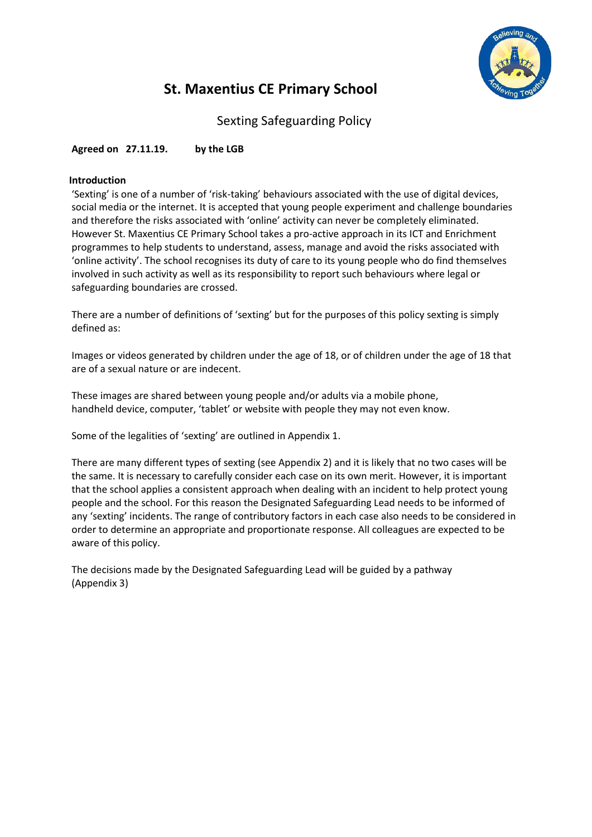

# **St. Maxentius CE Primary School**

Sexting Safeguarding Policy

**Agreed on 27.11.19. by the LGB**

## **Introduction**

'Sexting' is one of a number of 'risk-taking' behaviours associated with the use of digital devices, social media or the internet. It is accepted that young people experiment and challenge boundaries and therefore the risks associated with 'online' activity can never be completely eliminated. However St. Maxentius CE Primary School takes a pro-active approach in its ICT and Enrichment programmes to help students to understand, assess, manage and avoid the risks associated with 'online activity'. The school recognises its duty of care to its young people who do find themselves involved in such activity as well as its responsibility to report such behaviours where legal or safeguarding boundaries are crossed.

There are a number of definitions of 'sexting' but for the purposes of this policy sexting is simply defined as:

Images or videos generated by children under the age of 18, or of children under the age of 18 that are of a sexual nature or are indecent.

These images are shared between young people and/or adults via a mobile phone, handheld device, computer, 'tablet' or website with people they may not even know.

Some of the legalities of 'sexting' are outlined in Appendix 1.

There are many different types of sexting (see Appendix 2) and it is likely that no two cases will be the same. It is necessary to carefully consider each case on its own merit. However, it is important that the school applies a consistent approach when dealing with an incident to help protect young people and the school. For this reason the Designated Safeguarding Lead needs to be informed of any 'sexting' incidents. The range of contributory factors in each case also needs to be considered in order to determine an appropriate and proportionate response. All colleagues are expected to be aware of this policy.

The decisions made by the Designated Safeguarding Lead will be guided by a pathway (Appendix 3)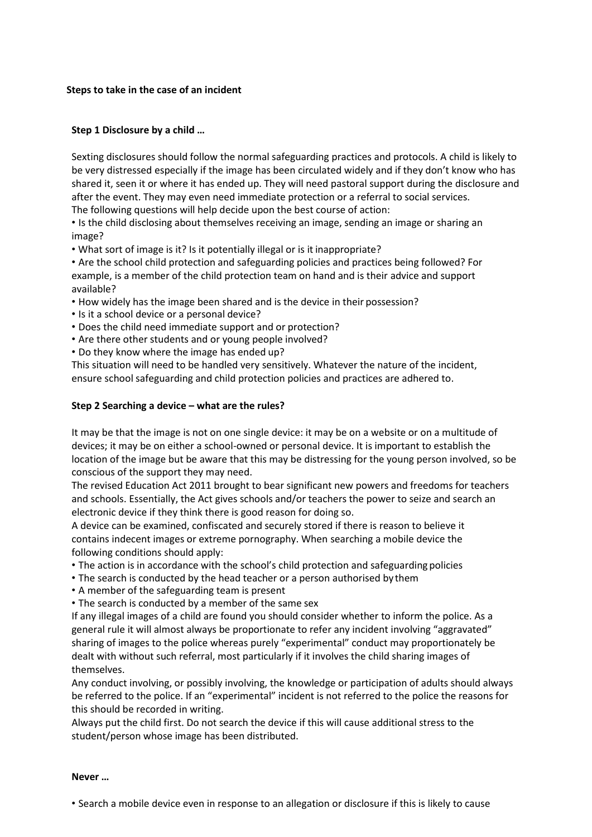## **Steps to take in the case of an incident**

## **Step 1 Disclosure by a child …**

Sexting disclosures should follow the normal safeguarding practices and protocols. A child is likely to be very distressed especially if the image has been circulated widely and if they don't know who has shared it, seen it or where it has ended up. They will need pastoral support during the disclosure and after the event. They may even need immediate protection or a referral to social services. The following questions will help decide upon the best course of action:

• Is the child disclosing about themselves receiving an image, sending an image or sharing an image?

• What sort of image is it? Is it potentially illegal or is it inappropriate?

• Are the school child protection and safeguarding policies and practices being followed? For example, is a member of the child protection team on hand and is their advice and support available?

- How widely has the image been shared and is the device in their possession?
- Is it a school device or a personal device?
- Does the child need immediate support and or protection?
- Are there other students and or young people involved?
- Do they know where the image has ended up?

This situation will need to be handled very sensitively. Whatever the nature of the incident, ensure school safeguarding and child protection policies and practices are adhered to.

## **Step 2 Searching a device – what are the rules?**

It may be that the image is not on one single device: it may be on a website or on a multitude of devices; it may be on either a school-owned or personal device. It is important to establish the location of the image but be aware that this may be distressing for the young person involved, so be conscious of the support they may need.

The revised Education Act 2011 brought to bear significant new powers and freedoms for teachers and schools. Essentially, the Act gives schools and/or teachers the power to seize and search an electronic device if they think there is good reason for doing so.

A device can be examined, confiscated and securely stored if there is reason to believe it contains indecent images or extreme pornography. When searching a mobile device the following conditions should apply:

- The action is in accordance with the school's child protection and safeguarding policies
- The search is conducted by the head teacher or a person authorised by them
- A member of the safeguarding team is present
- The search is conducted by a member of the same sex

If any illegal images of a child are found you should consider whether to inform the police. As a general rule it will almost always be proportionate to refer any incident involving "aggravated" sharing of images to the police whereas purely "experimental" conduct may proportionately be dealt with without such referral, most particularly if it involves the child sharing images of themselves.

Any conduct involving, or possibly involving, the knowledge or participation of adults should always be referred to the police. If an "experimental" incident is not referred to the police the reasons for this should be recorded in writing.

Always put the child first. Do not search the device if this will cause additional stress to the student/person whose image has been distributed.

## **Never …**

• Search a mobile device even in response to an allegation or disclosure if this is likely to cause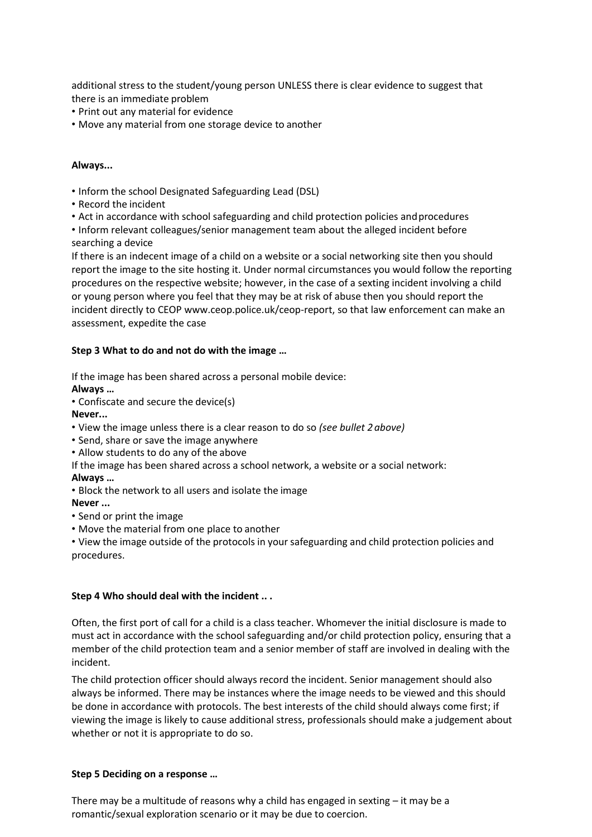additional stress to the student/young person UNLESS there is clear evidence to suggest that there is an immediate problem

- Print out any material for evidence
- Move any material from one storage device to another

### **Always...**

- Inform the school Designated Safeguarding Lead (DSL)
- Record the incident
- Act in accordance with school safeguarding and child protection policies and procedures
- Inform relevant colleagues/senior management team about the alleged incident before searching a device

If there is an indecent image of a child on a website or a social networking site then you should report the image to the site hosting it. Under normal circumstances you would follow the reporting procedures on the respective website; however, in the case of a sexting incident involving a child or young person where you feel that they may be at risk of abuse then you should report the incident directly to CEOP [www.ceop.police.uk/ceop-report, s](http://www.ceop.police.uk/ceop-report)o that law enforcement can make an assessment, expedite the case

## **Step 3 What to do and not do with the image …**

If the image has been shared across a personal mobile device:

**Always …**

• Confiscate and secure the device(s)

**Never...**

- View the image unless there is a clear reason to do so *(see bullet 2 above)*
- Send, share or save the image anywhere
- Allow students to do any of the above
- If the image has been shared across a school network, a website or a social network:

#### **Always …**

• Block the network to all users and isolate the image

#### **Never ...**

- Send or print the image
- Move the material from one place to another
- View the image outside of the protocols in your safeguarding and child protection policies and procedures.

#### **Step 4 Who should deal with the incident .. .**

Often, the first port of call for a child is a class teacher. Whomever the initial disclosure is made to must act in accordance with the school safeguarding and/or child protection policy, ensuring that a member of the child protection team and a senior member of staff are involved in dealing with the incident.

The child protection officer should always record the incident. Senior management should also always be informed. There may be instances where the image needs to be viewed and this should be done in accordance with protocols. The best interests of the child should always come first; if viewing the image is likely to cause additional stress, professionals should make a judgement about whether or not it is appropriate to do so.

#### **Step 5 Deciding on a response …**

There may be a multitude of reasons why a child has engaged in sexting  $-$  it may be a romantic/sexual exploration scenario or it may be due to coercion.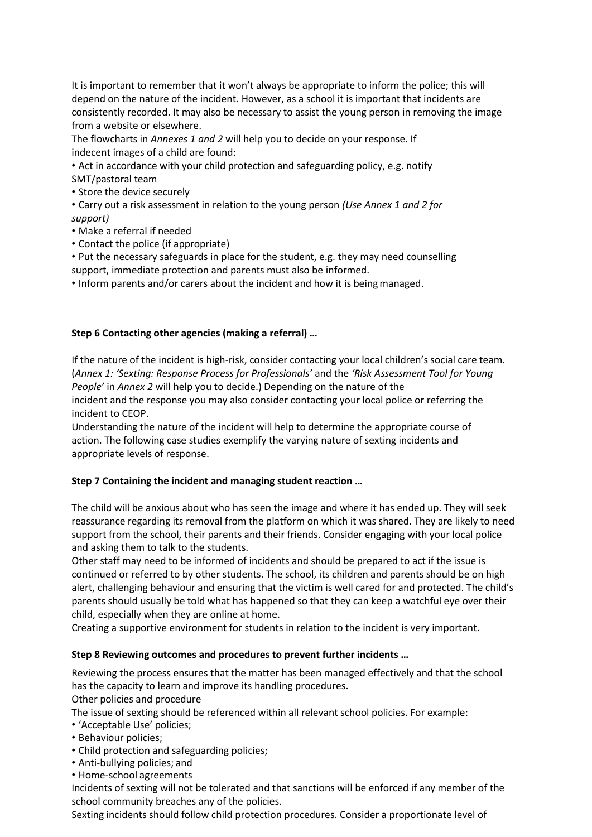It is important to remember that it won't always be appropriate to inform the police; this will depend on the nature of the incident. However, as a school it is important that incidents are consistently recorded. It may also be necessary to assist the young person in removing the image from a website or elsewhere.

The flowcharts in *Annexes 1 and 2* will help you to decide on your response. If indecent images of a child are found:

• Act in accordance with your child protection and safeguarding policy, e.g. notify SMT/pastoral team

• Store the device securely

• Carry out a risk assessment in relation to the young person *(Use Annex 1 and 2 for support)*

- Make a referral if needed
- Contact the police (if appropriate)

• Put the necessary safeguards in place for the student, e.g. they may need counselling support, immediate protection and parents must also be informed.

• Inform parents and/or carers about the incident and how it is beingmanaged.

## **Step 6 Contacting other agencies (making a referral) …**

If the nature of the incident is high-risk, consider contacting your local children's social care team. (*Annex 1: 'Sexting: Response Process for Professionals'* and the *'Risk Assessment Tool for Young People'* in *Annex 2* will help you to decide.) Depending on the nature of the incident and the response you may also consider contacting your local police or referring the incident to CEOP.

Understanding the nature of the incident will help to determine the appropriate course of action. The following case studies exemplify the varying nature of sexting incidents and appropriate levels of response.

## **Step 7 Containing the incident and managing student reaction …**

The child will be anxious about who has seen the image and where it has ended up. They will seek reassurance regarding its removal from the platform on which it was shared. They are likely to need support from the school, their parents and their friends. Consider engaging with your local police and asking them to talk to the students.

Other staff may need to be informed of incidents and should be prepared to act if the issue is continued or referred to by other students. The school, its children and parents should be on high alert, challenging behaviour and ensuring that the victim is well cared for and protected. The child's parents should usually be told what has happened so that they can keep a watchful eye over their child, especially when they are online at home.

Creating a supportive environment for students in relation to the incident is very important.

## **Step 8 Reviewing outcomes and procedures to prevent further incidents …**

Reviewing the process ensures that the matter has been managed effectively and that the school has the capacity to learn and improve its handling procedures.

Other policies and procedure

The issue of sexting should be referenced within all relevant school policies. For example:

- 'Acceptable Use' policies;
- Behaviour policies;
- Child protection and safeguarding policies;
- Anti-bullying policies; and
- Home-school agreements

Incidents of sexting will not be tolerated and that sanctions will be enforced if any member of the school community breaches any of the policies.

Sexting incidents should follow child protection procedures. Consider a proportionate level of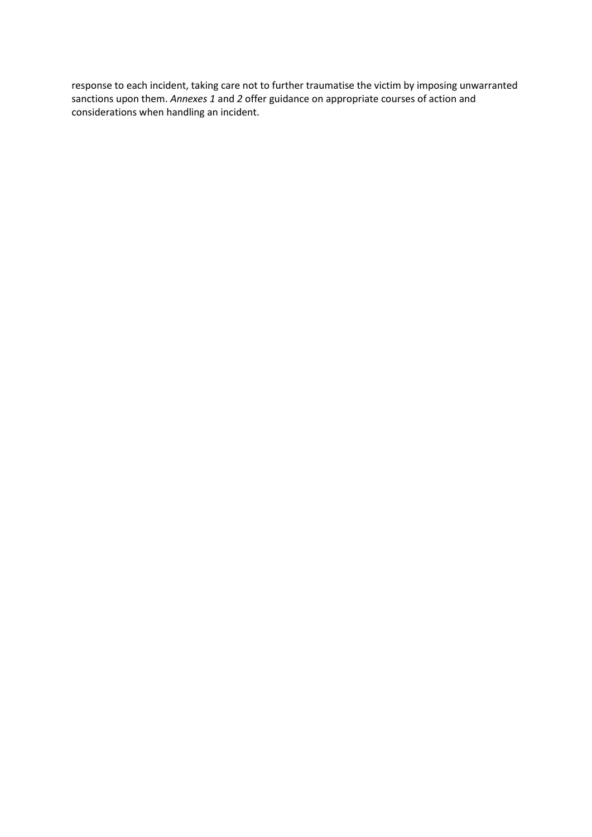response to each incident, taking care not to further traumatise the victim by imposing unwarranted sanctions upon them. *Annexes 1* and *2* offer guidance on appropriate courses of action and considerations when handling an incident.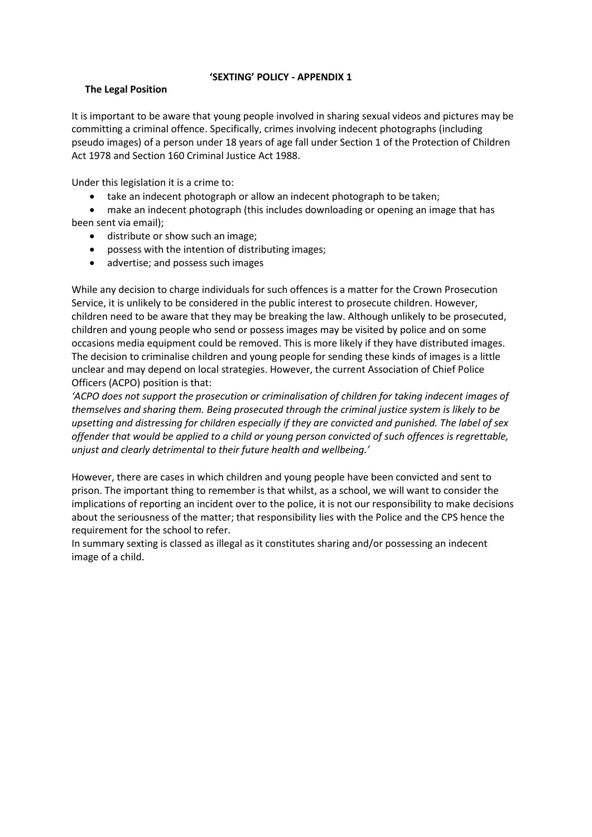## **'SEXTING' POLICY - APPENDIX 1**

## **The Legal Position**

It is important to be aware that young people involved in sharing sexual videos and pictures may be committing a criminal offence. Specifically, crimes involving indecent photographs (including pseudo images) of a person under 18 years of age fall under Section 1 of the Protection of Children Act 1978 and Section 160 Criminal Justice Act 1988.

Under this legislation it is a crime to:

- take an indecent photograph or allow an indecent photograph to be taken;
- make an indecent photograph (this includes downloading or opening an image that has been sent via email);
	- distribute or show such an image;
	- possess with the intention of distributing images;
	- advertise; and possess such images

While any decision to charge individuals for such offences is a matter for the Crown Prosecution Service, it is unlikely to be considered in the public interest to prosecute children. However, children need to be aware that they may be breaking the law. Although unlikely to be prosecuted, children and young people who send or possess images may be visited by police and on some occasions media equipment could be removed. This is more likely if they have distributed images. The decision to criminalise children and young people for sending these kinds of images is a little unclear and may depend on local strategies. However, the current Association of Chief Police Officers (ACPO) position is that:

*'ACPO does not support the prosecution or criminalisation of children for taking indecent images of themselves and sharing them. Being prosecuted through the criminal justice system is likely to be upsetting and distressing for children especially if they are convicted and punished. The label of sex offender that would be applied to a child or young person convicted of such offences is regrettable, unjust and clearly detrimental to their future health and wellbeing.'*

However, there are cases in which children and young people have been convicted and sent to prison. The important thing to remember is that whilst, as a school, we will want to consider the implications of reporting an incident over to the police, it is not our responsibility to make decisions about the seriousness of the matter; that responsibility lies with the Police and the CPS hence the requirement for the school to refer.

In summary sexting is classed as illegal as it constitutes sharing and/or possessing an indecent image of a child.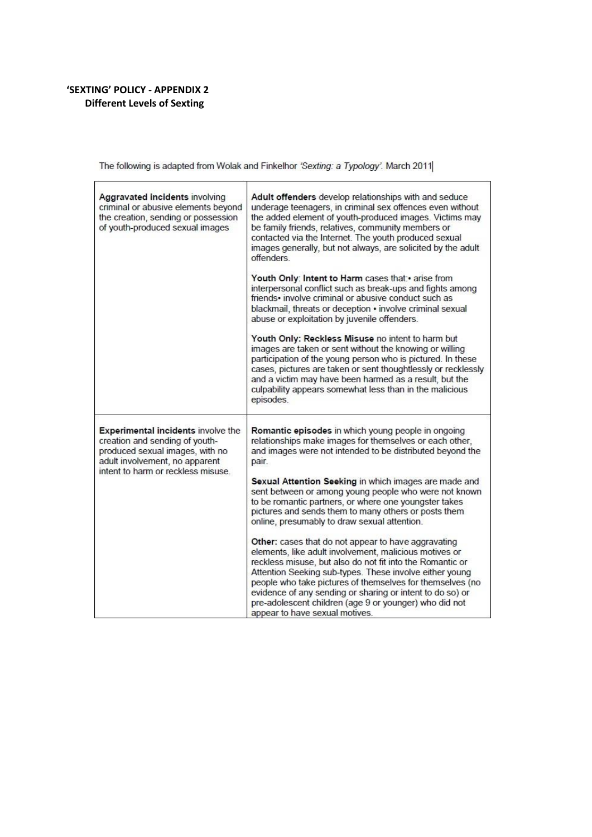# **'SEXTING' POLICY - APPENDIX 2 Different Levels of Sexting**

l,

The following is adapted from Wolak and Finkelhor 'Sexting: a Typology'. March 2011

| Aggravated incidents involving<br>criminal or abusive elements beyond<br>the creation, sending or possession<br>of youth-produced sexual images                                        | Adult offenders develop relationships with and seduce<br>underage teenagers, in criminal sex offences even without<br>the added element of youth-produced images. Victims may<br>be family friends, relatives, community members or<br>contacted via the Internet. The youth produced sexual<br>images generally, but not always, are solicited by the adult<br>offenders.<br>Youth Only: Intent to Harm cases that: arise from<br>interpersonal conflict such as break-ups and fights among<br>friends• involve criminal or abusive conduct such as<br>blackmail, threats or deception • involve criminal sexual<br>abuse or exploitation by juvenile offenders.<br>Youth Only: Reckless Misuse no intent to harm but<br>images are taken or sent without the knowing or willing<br>participation of the young person who is pictured. In these |
|----------------------------------------------------------------------------------------------------------------------------------------------------------------------------------------|--------------------------------------------------------------------------------------------------------------------------------------------------------------------------------------------------------------------------------------------------------------------------------------------------------------------------------------------------------------------------------------------------------------------------------------------------------------------------------------------------------------------------------------------------------------------------------------------------------------------------------------------------------------------------------------------------------------------------------------------------------------------------------------------------------------------------------------------------|
|                                                                                                                                                                                        | cases, pictures are taken or sent thoughtlessly or recklessly<br>and a victim may have been harmed as a result, but the<br>culpability appears somewhat less than in the malicious<br>episodes.                                                                                                                                                                                                                                                                                                                                                                                                                                                                                                                                                                                                                                                  |
| <b>Experimental incidents involve the</b><br>creation and sending of youth-<br>produced sexual images, with no<br>adult involvement, no apparent<br>intent to harm or reckless misuse. | Romantic episodes in which young people in ongoing<br>relationships make images for themselves or each other,<br>and images were not intended to be distributed beyond the<br>pair.                                                                                                                                                                                                                                                                                                                                                                                                                                                                                                                                                                                                                                                              |
|                                                                                                                                                                                        | Sexual Attention Seeking in which images are made and<br>sent between or among young people who were not known<br>to be romantic partners, or where one youngster takes<br>pictures and sends them to many others or posts them<br>online, presumably to draw sexual attention.                                                                                                                                                                                                                                                                                                                                                                                                                                                                                                                                                                  |
|                                                                                                                                                                                        | Other: cases that do not appear to have aggravating<br>elements, like adult involvement, malicious motives or<br>reckless misuse, but also do not fit into the Romantic or<br>Attention Seeking sub-types. These involve either young<br>people who take pictures of themselves for themselves (no<br>evidence of any sending or sharing or intent to do so) or<br>pre-adolescent children (age 9 or younger) who did not<br>appear to have sexual motives.                                                                                                                                                                                                                                                                                                                                                                                      |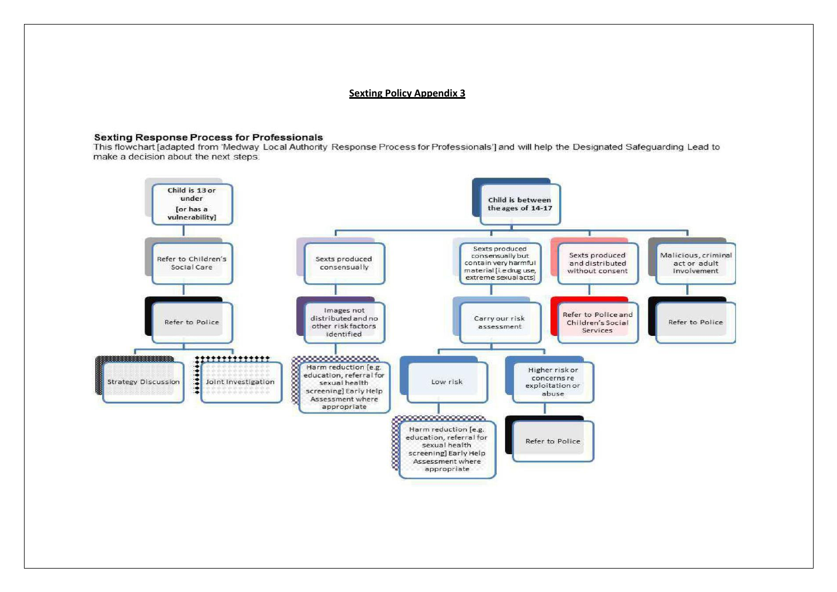#### **Sexting Policy Appendix 3**

#### **Sexting Response Process for Professionals**

This flowchart [adapted from 'Medway Local Authority Response Process for Professionals'] and will help the Designated Safeguarding Lead to make a decision about the next steps.